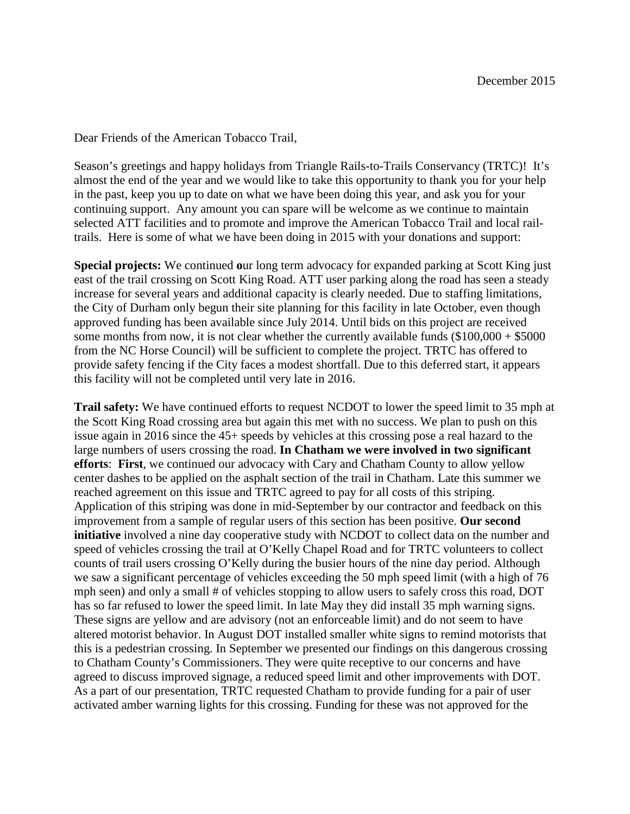Dear Friends of the American Tobacco Trail,

Season's greetings and happy holidays from Triangle Rails-to-Trails Conservancy (TRTC)! It's almost the end of the year and we would like to take this opportunity to thank you for your help in the past, keep you up to date on what we have been doing this year, and ask you for your continuing support. Any amount you can spare will be welcome as we continue to maintain selected ATT facilities and to promote and improve the American Tobacco Trail and local railtrails. Here is some of what we have been doing in 2015 with your donations and support:

**Special projects:** We continued **o**ur long term advocacy for expanded parking at Scott King just east of the trail crossing on Scott King Road. ATT user parking along the road has seen a steady increase for several years and additional capacity is clearly needed. Due to staffing limitations, the City of Durham only begun their site planning for this facility in late October, even though approved funding has been available since July 2014. Until bids on this project are received some months from now, it is not clear whether the currently available funds  $(\$100,000 + \$5000$ from the NC Horse Council) will be sufficient to complete the project. TRTC has offered to provide safety fencing if the City faces a modest shortfall. Due to this deferred start, it appears this facility will not be completed until very late in 2016.

**Trail safety:** We have continued efforts to request NCDOT to lower the speed limit to 35 mph at the Scott King Road crossing area but again this met with no success. We plan to push on this issue again in 2016 since the 45+ speeds by vehicles at this crossing pose a real hazard to the large numbers of users crossing the road. **In Chatham we were involved in two significant efforts**: **First**, we continued our advocacy with Cary and Chatham County to allow yellow center dashes to be applied on the asphalt section of the trail in Chatham. Late this summer we reached agreement on this issue and TRTC agreed to pay for all costs of this striping. Application of this striping was done in mid-September by our contractor and feedback on this improvement from a sample of regular users of this section has been positive. **Our second initiative** involved a nine day cooperative study with NCDOT to collect data on the number and speed of vehicles crossing the trail at O'Kelly Chapel Road and for TRTC volunteers to collect counts of trail users crossing O'Kelly during the busier hours of the nine day period. Although we saw a significant percentage of vehicles exceeding the 50 mph speed limit (with a high of 76 mph seen) and only a small # of vehicles stopping to allow users to safely cross this road, DOT has so far refused to lower the speed limit. In late May they did install 35 mph warning signs. These signs are yellow and are advisory (not an enforceable limit) and do not seem to have altered motorist behavior. In August DOT installed smaller white signs to remind motorists that this is a pedestrian crossing. In September we presented our findings on this dangerous crossing to Chatham County's Commissioners. They were quite receptive to our concerns and have agreed to discuss improved signage, a reduced speed limit and other improvements with DOT. As a part of our presentation, TRTC requested Chatham to provide funding for a pair of user activated amber warning lights for this crossing. Funding for these was not approved for the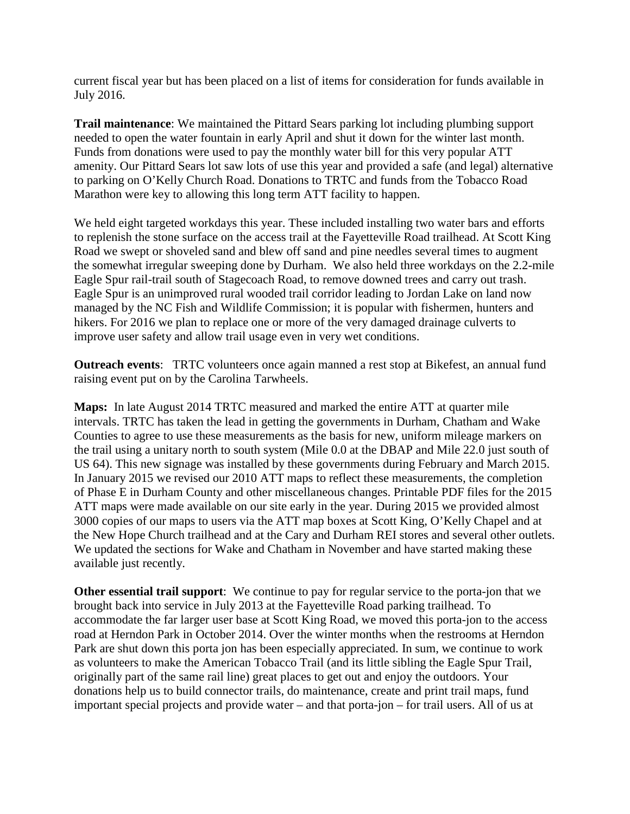current fiscal year but has been placed on a list of items for consideration for funds available in July 2016.

**Trail maintenance**: We maintained the Pittard Sears parking lot including plumbing support needed to open the water fountain in early April and shut it down for the winter last month. Funds from donations were used to pay the monthly water bill for this very popular ATT amenity. Our Pittard Sears lot saw lots of use this year and provided a safe (and legal) alternative to parking on O'Kelly Church Road. Donations to TRTC and funds from the Tobacco Road Marathon were key to allowing this long term ATT facility to happen.

We held eight targeted workdays this year. These included installing two water bars and efforts to replenish the stone surface on the access trail at the Fayetteville Road trailhead. At Scott King Road we swept or shoveled sand and blew off sand and pine needles several times to augment the somewhat irregular sweeping done by Durham. We also held three workdays on the 2.2-mile Eagle Spur rail-trail south of Stagecoach Road, to remove downed trees and carry out trash. Eagle Spur is an unimproved rural wooded trail corridor leading to Jordan Lake on land now managed by the NC Fish and Wildlife Commission; it is popular with fishermen, hunters and hikers. For 2016 we plan to replace one or more of the very damaged drainage culverts to improve user safety and allow trail usage even in very wet conditions.

**Outreach events**: TRTC volunteers once again manned a rest stop at Bikefest, an annual fund raising event put on by the Carolina Tarwheels.

**Maps:** In late August 2014 TRTC measured and marked the entire ATT at quarter mile intervals. TRTC has taken the lead in getting the governments in Durham, Chatham and Wake Counties to agree to use these measurements as the basis for new, uniform mileage markers on the trail using a unitary north to south system (Mile 0.0 at the DBAP and Mile 22.0 just south of US 64). This new signage was installed by these governments during February and March 2015. In January 2015 we revised our 2010 ATT maps to reflect these measurements, the completion of Phase E in Durham County and other miscellaneous changes. Printable PDF files for the 2015 ATT maps were made available on our site early in the year. During 2015 we provided almost 3000 copies of our maps to users via the ATT map boxes at Scott King, O'Kelly Chapel and at the New Hope Church trailhead and at the Cary and Durham REI stores and several other outlets. We updated the sections for Wake and Chatham in November and have started making these available just recently.

**Other essential trail support**: We continue to pay for regular service to the porta-jon that we brought back into service in July 2013 at the Fayetteville Road parking trailhead. To accommodate the far larger user base at Scott King Road, we moved this porta-jon to the access road at Herndon Park in October 2014. Over the winter months when the restrooms at Herndon Park are shut down this porta jon has been especially appreciated. In sum, we continue to work as volunteers to make the American Tobacco Trail (and its little sibling the Eagle Spur Trail, originally part of the same rail line) great places to get out and enjoy the outdoors. Your donations help us to build connector trails, do maintenance, create and print trail maps, fund important special projects and provide water – and that porta-jon – for trail users. All of us at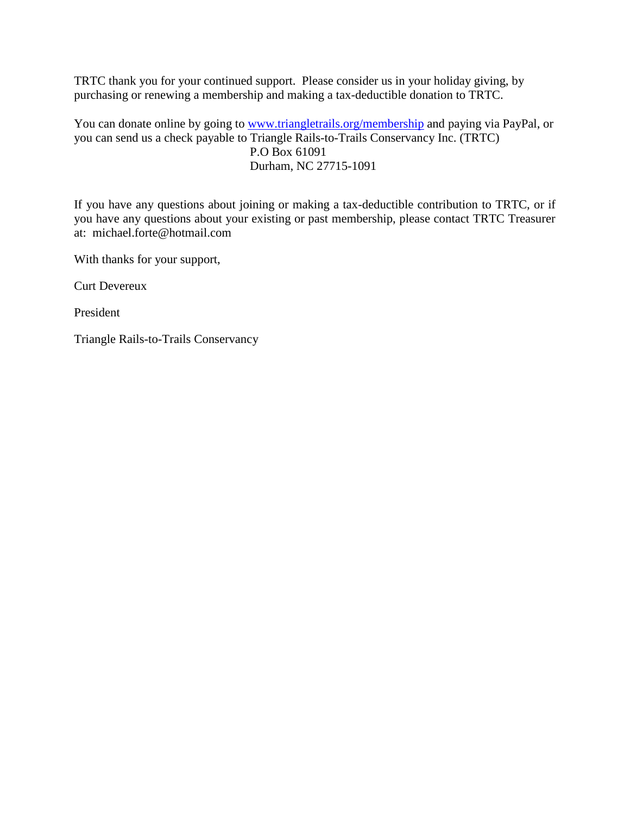TRTC thank you for your continued support. Please consider us in your holiday giving, by purchasing or renewing a membership and making a tax-deductible donation to TRTC.

You can donate online by going to [www.triangletrails.org/membership](http://www.triangletrails.org/membership) and paying via PayPal, or you can send us a check payable to Triangle Rails-to-Trails Conservancy Inc. (TRTC) P.O Box 61091 Durham, NC 27715-1091

If you have any questions about joining or making a tax-deductible contribution to TRTC, or if you have any questions about your existing or past membership, please contact TRTC Treasurer at: michael.forte@hotmail.com

With thanks for your support,

Curt Devereux

President

Triangle Rails-to-Trails Conservancy